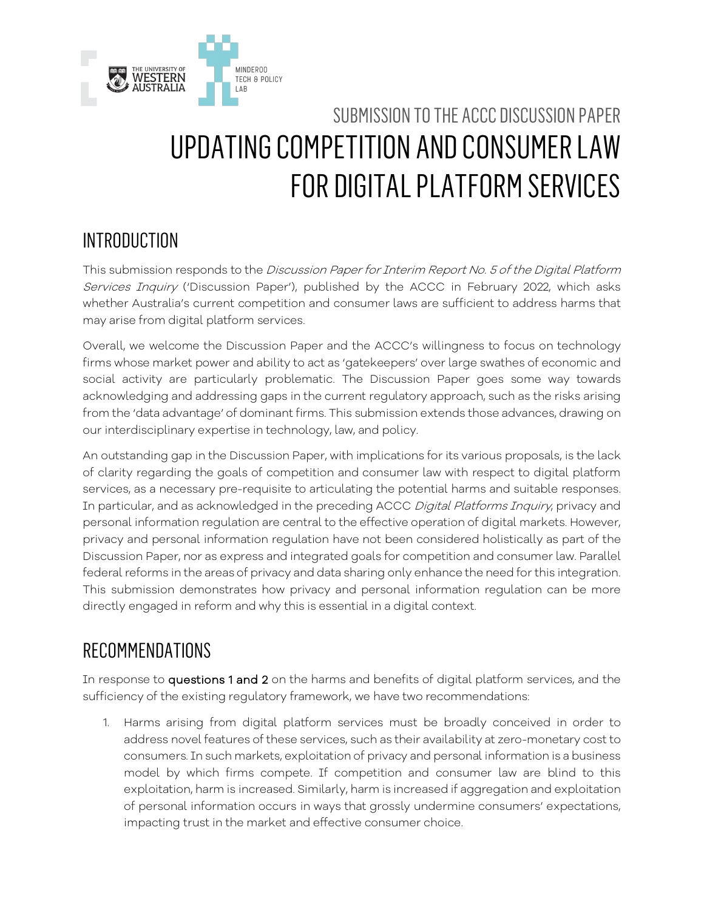

# SUBMISSION TO THE ACCC DISCUSSION PAPER UPDATING COMPETITION AND CONSUMER LAW FOR DIGITAL PLATFORM SERVICES

### INTRODUCTION

This submission responds to the Discussion Paper for Interim Report No. 5 of the Digital Platform Services Inquiry ('Discussion Paper'), published by the ACCC in February 2022, which asks whether Australia's current competition and consumer laws are sufficient to address harms that may arise from digital platform services.

Overall, we welcome the Discussion Paper and the ACCC's willingness to focus on technology firms whose market power and ability to act as 'gatekeepers' over large swathes of economic and social activity are particularly problematic. The Discussion Paper goes some way towards acknowledging and addressing gaps in the current regulatory approach, such as the risks arising from the 'data advantage' of dominant firms. This submission extends those advances, drawing on our interdisciplinary expertise in technology, law, and policy.

An outstanding gap in the Discussion Paper, with implications for its various proposals, is the lack of clarity regarding the goals of competition and consumer law with respect to digital platform services, as a necessary pre-requisite to articulating the potential harms and suitable responses. In particular, and as acknowledged in the preceding ACCC Digital Platforms Inquiry, privacy and personal information regulation are central to the effective operation of digital markets. However, privacy and personal information regulation have not been considered holistically as part of the Discussion Paper, nor as express and integrated goals for competition and consumer law. Parallel federal reforms in the areas of privacy and data sharing only enhance the need for this integration. This submission demonstrates how privacy and personal information regulation can be more directly engaged in reform and why this is essential in a digital context.

### RECOMMENDATIONS

In response to questions 1 and 2 on the harms and benefits of digital platform services, and the sufficiency of the existing regulatory framework, we have two recommendations:

1. Harms arising from digital platform services must be broadly conceived in order to address novel features of these services, such as their availability at zero-monetary cost to consumers. In such markets, exploitation of privacy and personal information is a business model by which firms compete. If competition and consumer law are blind to this exploitation, harm is increased. Similarly, harm is increased if aggregation and exploitation of personal information occurs in ways that grossly undermine consumers' expectations, impacting trust in the market and effective consumer choice.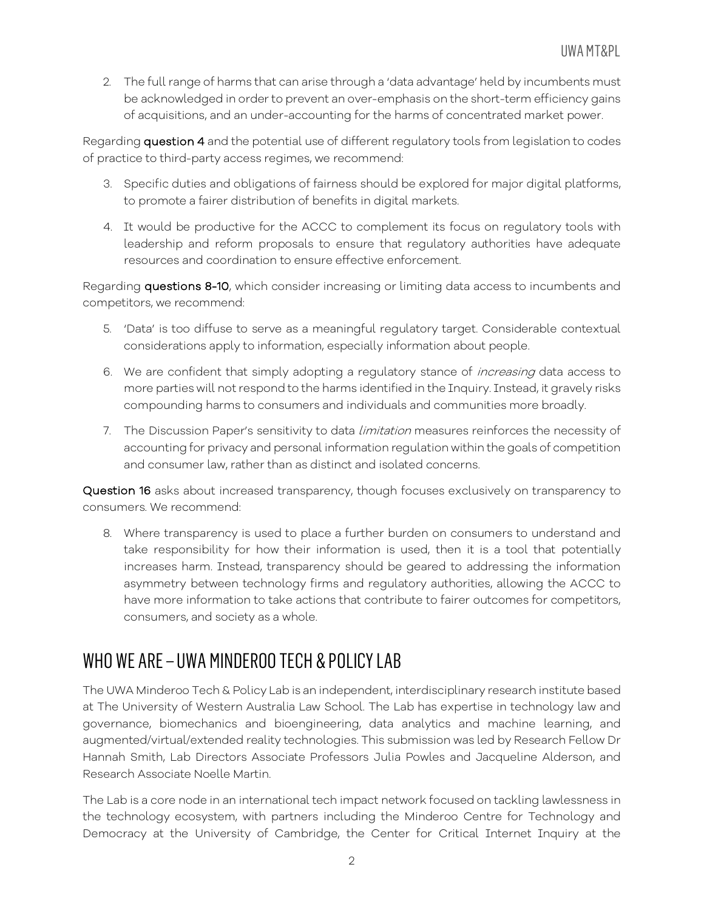2. The full range of harms that can arise through a 'data advantage' held by incumbents must be acknowledged in order to prevent an over-emphasis on the short-term efficiency gains of acquisitions, and an under-accounting for the harms of concentrated market power.

Regarding question 4 and the potential use of different regulatory tools from legislation to codes of practice to third-party access regimes, we recommend:

- 3. Specific duties and obligations of fairness should be explored for major digital platforms, to promote a fairer distribution of benefits in digital markets.
- 4. It would be productive for the ACCC to complement its focus on regulatory tools with leadership and reform proposals to ensure that regulatory authorities have adequate resources and coordination to ensure effective enforcement.

Regarding questions 8-10, which consider increasing or limiting data access to incumbents and competitors, we recommend:

- 5. 'Data' is too diffuse to serve as a meaningful regulatory target. Considerable contextual considerations apply to information, especially information about people.
- 6. We are confident that simply adopting a regulatory stance of *increasing* data access to more parties will not respond to the harms identified in the Inquiry. Instead, it gravely risks compounding harms to consumers and individuals and communities more broadly.
- 7. The Discussion Paper's sensitivity to data *limitation* measures reinforces the necessity of accounting for privacy and personal information regulation within the goals of competition and consumer law, rather than as distinct and isolated concerns.

Question 16 asks about increased transparency, though focuses exclusively on transparency to consumers. We recommend:

8. Where transparency is used to place a further burden on consumers to understand and take responsibility for how their information is used, then it is a tool that potentially increases harm. Instead, transparency should be geared to addressing the information asymmetry between technology firms and regulatory authorities, allowing the ACCC to have more information to take actions that contribute to fairer outcomes for competitors, consumers, and society as a whole.

### WHO WE ARE – UWA MINDEROO TECH & POLICY LAB

The UWA Minderoo Tech & Policy Lab is an independent, interdisciplinary research institute based at The University of Western Australia Law School. The Lab has expertise in technology law and governance, biomechanics and bioengineering, data analytics and machine learning, and augmented/virtual/extended reality technologies. This submission was led by Research Fellow Dr Hannah Smith, Lab Directors Associate Professors Julia Powles and Jacqueline Alderson, and Research Associate Noelle Martin.

The Lab is a core node in an international tech impact network focused on tackling lawlessness in the technology ecosystem, with partners including the Minderoo Centre for Technology and Democracy at the University of Cambridge, the Center for Critical Internet Inquiry at the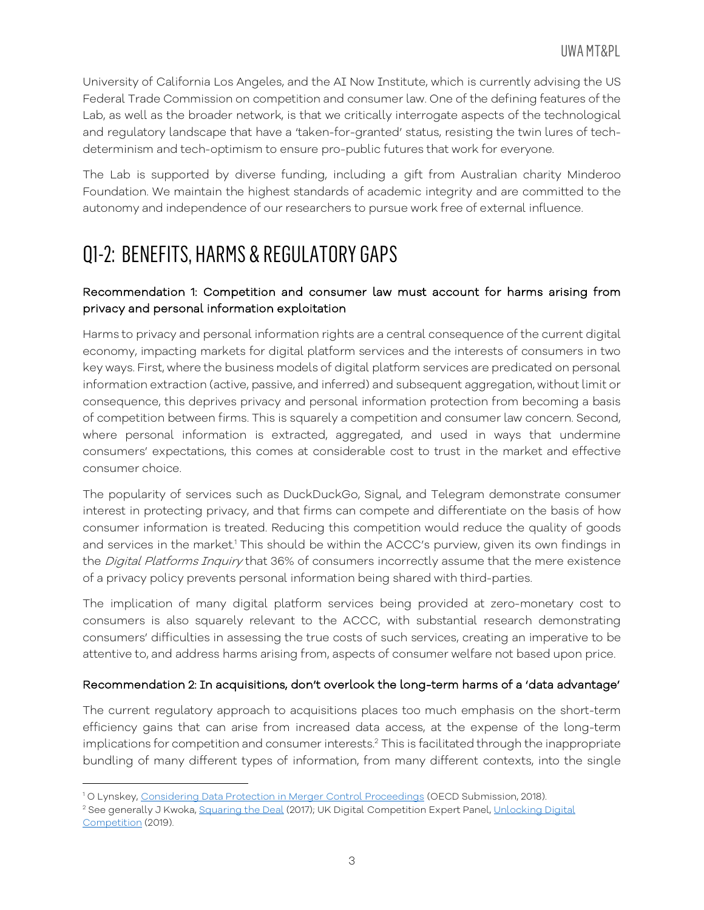University of California Los Angeles, and the AI Now Institute, which is currently advising the US Federal Trade Commission on competition and consumer law. One of the defining features of the Lab, as well as the broader network, is that we critically interrogate aspects of the technological and regulatory landscape that have a 'taken-for-granted' status, resisting the twin lures of techdeterminism and tech-optimism to ensure pro-public futures that work for everyone.

The Lab is supported by diverse funding, including a gift from Australian charity Minderoo Foundation. We maintain the highest standards of academic integrity and are committed to the autonomy and independence of our researchers to pursue work free of external influence.

# Q1-2: BENEFITS, HARMS & REGULATORY GAPS

#### Recommendation 1: Competition and consumer law must account for harms arising from privacy and personal information exploitation

Harms to privacy and personal information rights are a central consequence of the current digital economy, impacting markets for digital platform services and the interests of consumers in two key ways. First, where the business models of digital platform services are predicated on personal information extraction (active, passive, and inferred) and subsequent aggregation, without limit or consequence, this deprives privacy and personal information protection from becoming a basis of competition between firms. This is squarely a competition and consumer law concern. Second, where personal information is extracted, aggregated, and used in ways that undermine consumers' expectations, this comes at considerable cost to trust in the market and effective consumer choice.

The popularity of services such as DuckDuckGo, Signal, and Telegram demonstrate consumer interest in protecting privacy, and that firms can compete and differentiate on the basis of how consumer information is treated. Reducing this competition would reduce the quality of goods and services in the market.<sup>1</sup> This should be within the ACCC's purview, given its own findings in the *Digital Platforms Inquiry* that 36% of consumers incorrectly assume that the mere existence of a privacy policy prevents personal information being shared with third-parties.

The implication of many digital platform services being provided at zero-monetary cost to consumers is also squarely relevant to the ACCC, with substantial research demonstrating consumers' difficulties in assessing the true costs of such services, creating an imperative to be attentive to, and address harms arising from, aspects of consumer welfare not based upon price.

#### Recommendation 2: In acquisitions, don't overlook the long-term harms of a 'data advantage'

The current regulatory approach to acquisitions places too much emphasis on the short-term efficiency gains that can arise from increased data access, at the expense of the long-term implications for competition and consumer interests.<sup>2</sup> This is facilitated through the inappropriate bundling of many different types of information, from many different contexts, into the single

 $\overline{a}$ <sup>1</sup> O Lynskey, Considering Data Protection in Merger Control Proceedings (OECD Submission, 2018).

<sup>&</sup>lt;sup>2</sup> See generally J Kwoka, Squaring the Deal (2017); UK Digital Competition Expert Panel, Unlocking Digital Competition (2019).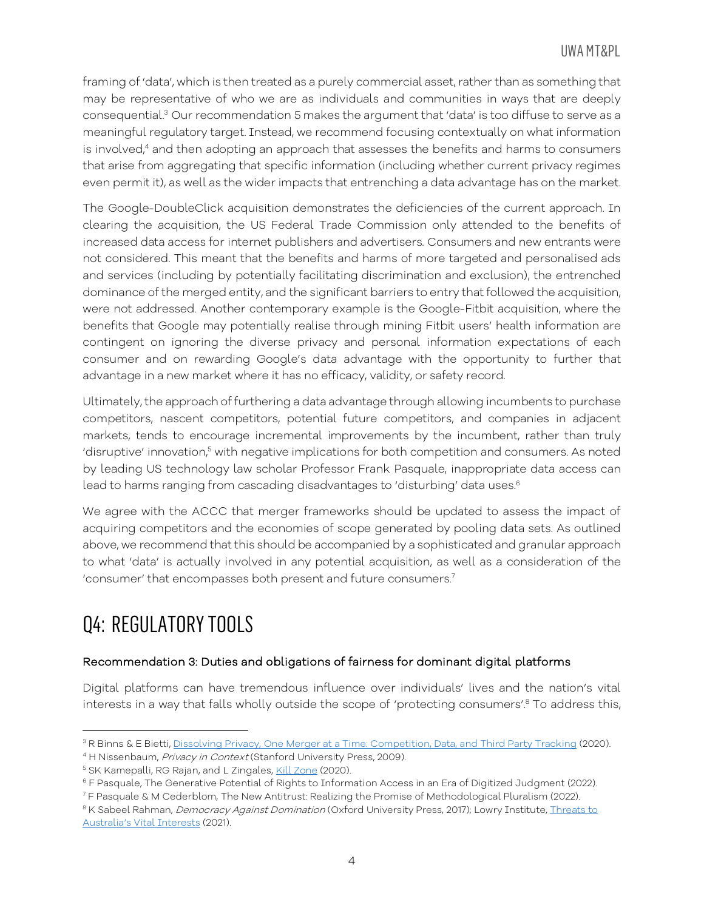framing of 'data', which is then treated as a purely commercial asset, rather than as something that may be representative of who we are as individuals and communities in ways that are deeply consequential. <sup>3</sup> Our recommendation 5 makes the argument that 'data' is too diffuse to serve as a meaningful regulatory target. Instead, we recommend focusing contextually on what information is involved,<sup>4</sup> and then adopting an approach that assesses the benefits and harms to consumers that arise from aggregating that specific information (including whether current privacy regimes even permit it), as well as the wider impacts that entrenching a data advantage has on the market.

The Google-DoubleClick acquisition demonstrates the deficiencies of the current approach. In clearing the acquisition, the US Federal Trade Commission only attended to the benefits of increased data access for internet publishers and advertisers. Consumers and new entrants were not considered. This meant that the benefits and harms of more targeted and personalised ads and services (including by potentially facilitating discrimination and exclusion), the entrenched dominance of the merged entity, and the significant barriers to entry that followed the acquisition, were not addressed. Another contemporary example is the Google-Fitbit acquisition, where the benefits that Google may potentially realise through mining Fitbit users' health information are contingent on ignoring the diverse privacy and personal information expectations of each consumer and on rewarding Google's data advantage with the opportunity to further that advantage in a new market where it has no efficacy, validity, or safety record.

Ultimately, the approach of furthering a data advantage through allowing incumbents to purchase competitors, nascent competitors, potential future competitors, and companies in adjacent markets, tends to encourage incremental improvements by the incumbent, rather than truly 'disruptive' innovation, $^5$  with negative implications for both competition and consumers. As noted by leading US technology law scholar Professor Frank Pasquale, inappropriate data access can lead to harms ranging from cascading disadvantages to 'disturbing' data uses.<sup>6</sup>

We agree with the ACCC that merger frameworks should be updated to assess the impact of acquiring competitors and the economies of scope generated by pooling data sets. As outlined above, we recommend that this should be accompanied by a sophisticated and granular approach to what 'data' is actually involved in any potential acquisition, as well as a consideration of the 'consumer' that encompasses both present and future consumers.7

# Q4: REGULATORY TOOLS

 $\overline{\phantom{a}}$ 

#### Recommendation 3: Duties and obligations of fairness for dominant digital platforms

Digital platforms can have tremendous influence over individuals' lives and the nation's vital interests in a way that falls wholly outside the scope of 'protecting consumers'.<sup>8</sup> To address this,

<sup>&</sup>lt;sup>3</sup> R Binns & E Bietti, <u>Dissolving Privacy, One Merger at a Time: Competition, Data, and Third Party Tracking (2020).<br><sup>4</sup> H Nissenbaum, *Privacy in Context* (Stanford University Press, 2009).</u>

<sup>&</sup>lt;sup>5</sup> SK Kamepalli, RG Rajan, and L Zingales, Kill Zone (2020).

<sup>6</sup> F Pasquale, The Generative Potential of Rights to Information Access in an Era of Digitized Judgment (2022).

<sup>7</sup> F Pasquale & M Cederblom, The New Antitrust: Realizing the Promise of Methodological Pluralism (2022).

<sup>&</sup>lt;sup>8</sup> K Sabeel Rahman, Democracy Against Domination (Oxford University Press, 2017); Lowry Institute, *Threats to* Australia's Vital Interests (2021).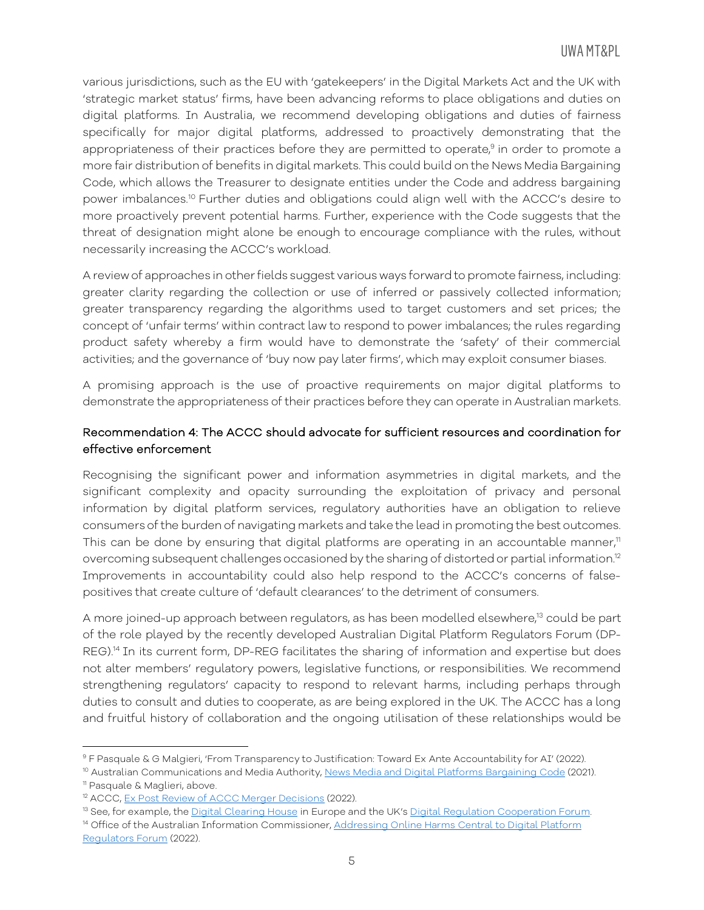various jurisdictions, such as the EU with 'gatekeepers' in the Digital Markets Act and the UK with 'strategic market status' firms, have been advancing reforms to place obligations and duties on digital platforms. In Australia, we recommend developing obligations and duties of fairness specifically for major digital platforms, addressed to proactively demonstrating that the appropriateness of their practices before they are permitted to operate, $9$  in order to promote a more fair distribution of benefits in digital markets. This could build on the News Media Bargaining Code, which allows the Treasurer to designate entities under the Code and address bargaining power imbalances. <sup>10</sup> Further duties and obligations could align well with the ACCC's desire to more proactively prevent potential harms. Further, experience with the Code suggests that the threat of designation might alone be enough to encourage compliance with the rules, without necessarily increasing the ACCC's workload.

A review of approaches in other fields suggest various ways forward to promote fairness, including: greater clarity regarding the collection or use of inferred or passively collected information; greater transparency regarding the algorithms used to target customers and set prices; the concept of 'unfair terms' within contract law to respond to power imbalances; the rules regarding product safety whereby a firm would have to demonstrate the 'safety' of their commercial activities; and the governance of 'buy now pay later firms', which may exploit consumer biases.

A promising approach is the use of proactive requirements on major digital platforms to demonstrate the appropriateness of their practices before they can operate in Australian markets.

#### Recommendation 4: The ACCC should advocate for sufficient resources and coordination for effective enforcement

Recognising the significant power and information asymmetries in digital markets, and the significant complexity and opacity surrounding the exploitation of privacy and personal information by digital platform services, regulatory authorities have an obligation to relieve consumers of the burden of navigating markets and take the lead in promoting the best outcomes. This can be done by ensuring that digital platforms are operating in an accountable manner, $<sup>11</sup>$ </sup> overcoming subsequent challenges occasioned by the sharing of distorted or partial information.12 Improvements in accountability could also help respond to the ACCC's concerns of falsepositives that create culture of 'default clearances' to the detriment of consumers.

A more joined-up approach between regulators, as has been modelled elsewhere,<sup>13</sup> could be part of the role played by the recently developed Australian Digital Platform Regulators Forum (DP-REG). <sup>14</sup> In its current form, DP-REG facilitates the sharing of information and expertise but does not alter members' regulatory powers, legislative functions, or responsibilities. We recommend strengthening regulators' capacity to respond to relevant harms, including perhaps through duties to consult and duties to cooperate, as are being explored in the UK. The ACCC has a long and fruitful history of collaboration and the ongoing utilisation of these relationships would be

l <sup>9</sup> F Pasquale & G Malgieri, 'From Transparency to Justification: Toward Ex Ante Accountability for AI' (2022).

<sup>&</sup>lt;sup>10</sup> Australian Communications and Media Authority, News Media and Digital Platforms Bargaining Code (2021). <sup>11</sup> Pasquale & Maglieri, above.

<sup>&</sup>lt;sup>12</sup> ACCC, Ex Post Review of ACCC Merger Decisions (2022).

<sup>&</sup>lt;sup>13</sup> See, for example, the Digital Clearing House in Europe and the UK's Digital Regulation Cooperation Forum. <sup>14</sup> Office of the Australian Information Commissioner, Addressing Online Harms Central to Digital Platform Regulators Forum (2022).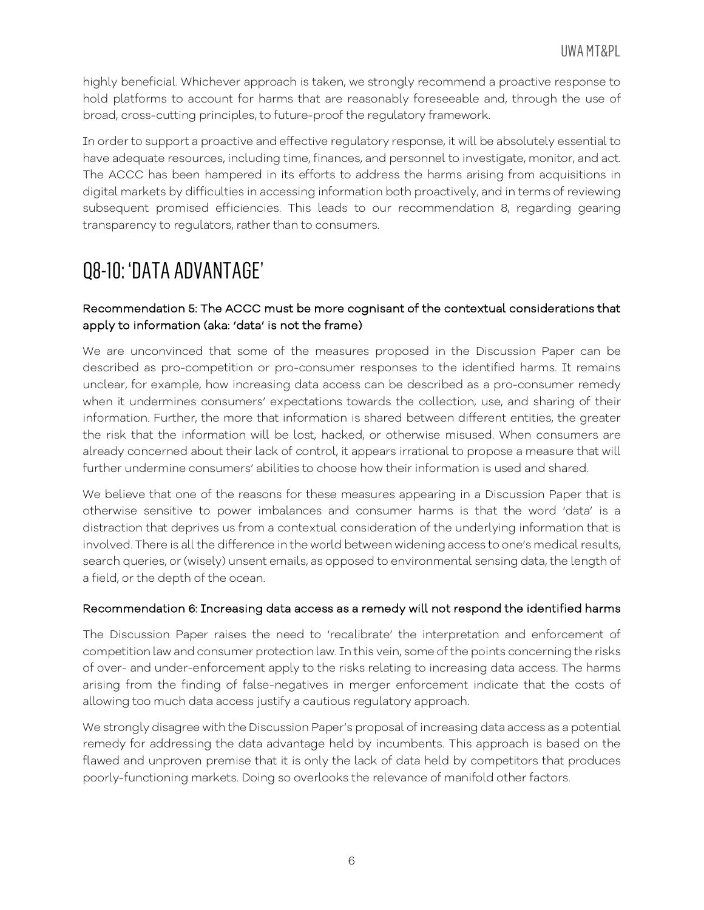highly beneficial. Whichever approach is taken, we strongly recommend a proactive response to hold platforms to account for harms that are reasonably foreseeable and, through the use of broad, cross-cutting principles, to future-proof the regulatory framework.

In order to support a proactive and effective regulatory response, it will be absolutely essential to have adequate resources, including time, finances, and personnel to investigate, monitor, and act. The ACCC has been hampered in its efforts to address the harms arising from acquisitions in digital markets by difficulties in accessing information both proactively, and in terms of reviewing subsequent promised efficiencies. This leads to our recommendation 8, regarding gearing transparency to regulators, rather than to consumers.

### Q8-10: 'DATA ADVANTAGE'

#### Recommendation 5: The ACCC must be more cognisant of the contextual considerations that apply to information (aka: 'data' is not the frame)

We are unconvinced that some of the measures proposed in the Discussion Paper can be described as pro-competition or pro-consumer responses to the identified harms. It remains unclear, for example, how increasing data access can be described as a pro-consumer remedy when it undermines consumers' expectations towards the collection, use, and sharing of their information. Further, the more that information is shared between different entities, the greater the risk that the information will be lost, hacked, or otherwise misused. When consumers are already concerned about their lack of control, it appears irrational to propose a measure that will further undermine consumers' abilities to choose how their information is used and shared.

We believe that one of the reasons for these measures appearing in a Discussion Paper that is otherwise sensitive to power imbalances and consumer harms is that the word 'data' is a distraction that deprives us from a contextual consideration of the underlying information that is involved. There is all the difference in the world between widening access to one's medical results, search queries, or (wisely) unsent emails, as opposed to environmental sensing data, the length of a field, or the depth of the ocean.

#### Recommendation 6: Increasing data access as a remedy will not respond the identified harms

The Discussion Paper raises the need to 'recalibrate' the interpretation and enforcement of competition law and consumer protection law. In this vein, some of the points concerning the risks of over- and under-enforcement apply to the risks relating to increasing data access. The harms arising from the finding of false-negatives in merger enforcement indicate that the costs of allowing too much data access justify a cautious regulatory approach.

We strongly disagree with the Discussion Paper's proposal of increasing data access as a potential remedy for addressing the data advantage held by incumbents. This approach is based on the flawed and unproven premise that it is only the lack of data held by competitors that produces poorly-functioning markets. Doing so overlooks the relevance of manifold other factors.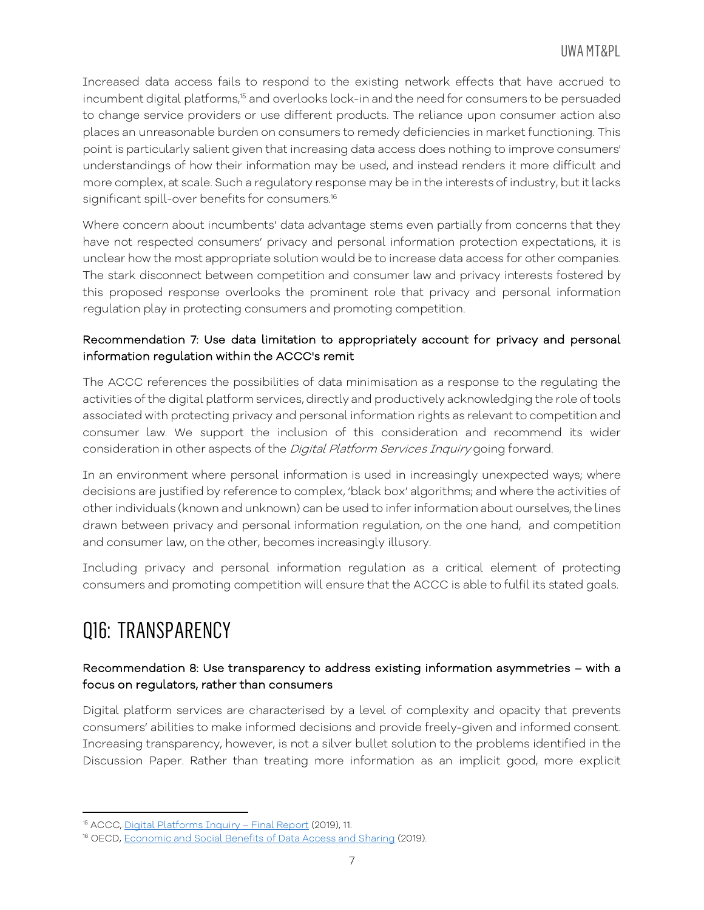Increased data access fails to respond to the existing network effects that have accrued to incumbent digital platforms, <sup>15</sup> and overlooks lock-in and the need for consumers to be persuaded to change service providers or use different products. The reliance upon consumer action also places an unreasonable burden on consumers to remedy deficiencies in market functioning. This point is particularly salient given that increasing data access does nothing to improve consumers' understandings of how their information may be used, and instead renders it more difficult and more complex, at scale. Such a regulatory response may be in the interests of industry, but it lacks significant spill-over benefits for consumers.<sup>16</sup>

Where concern about incumbents' data advantage stems even partially from concerns that they have not respected consumers' privacy and personal information protection expectations, it is unclear how the most appropriate solution would be to increase data access for other companies. The stark disconnect between competition and consumer law and privacy interests fostered by this proposed response overlooks the prominent role that privacy and personal information regulation play in protecting consumers and promoting competition.

#### Recommendation 7: Use data limitation to appropriately account for privacy and personal information regulation within the ACCC's remit

The ACCC references the possibilities of data minimisation as a response to the regulating the activities of the digital platform services, directly and productively acknowledging the role of tools associated with protecting privacy and personal information rights as relevant to competition and consumer law. We support the inclusion of this consideration and recommend its wider consideration in other aspects of the Digital Platform Services Inquiry going forward.

In an environment where personal information is used in increasingly unexpected ways; where decisions are justified by reference to complex, 'black box' algorithms; and where the activities of other individuals (known and unknown) can be used to infer information about ourselves, the lines drawn between privacy and personal information regulation, on the one hand, and competition and consumer law, on the other, becomes increasingly illusory.

Including privacy and personal information regulation as a critical element of protecting consumers and promoting competition will ensure that the ACCC is able to fulfil its stated goals.

# Q16: TRANSPARENCY

l

#### Recommendation 8: Use transparency to address existing information asymmetries – with a focus on regulators, rather than consumers

Digital platform services are characterised by a level of complexity and opacity that prevents consumers' abilities to make informed decisions and provide freely-given and informed consent. Increasing transparency, however, is not a silver bullet solution to the problems identified in the Discussion Paper. Rather than treating more information as an implicit good, more explicit

<sup>15</sup> ACCC, Digital Platforms Inquiry – Final Report (2019), 11.

<sup>&</sup>lt;sup>16</sup> OECD, Economic and Social Benefits of Data Access and Sharing (2019).